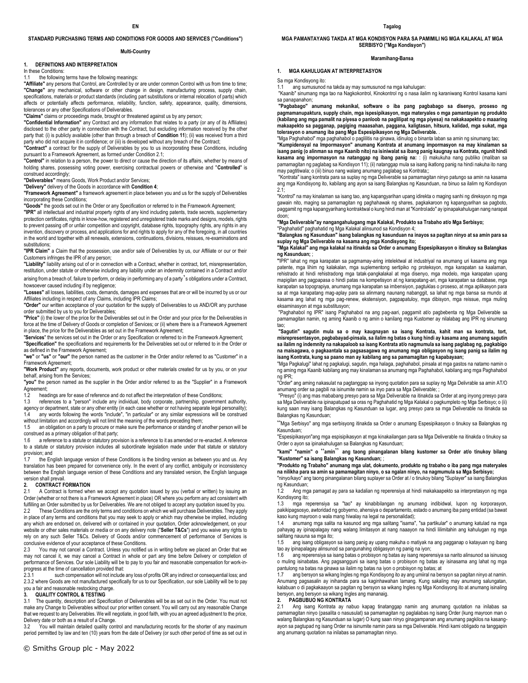### **STANDARD PURCHASING TERMS AND CONDITIONS FOR GOODS AND SERVICES ("Conditions")**

### **Multi-Country**

### **1. DEFINITIONS AND INTERPRETATION**

In these Conditions:

## 1.1 the following terms have the following meanings:

**"Affiliate"** any persons that Control, are Controlled by or are under common Control with us from time to time; **"Change"** any mechanical, software or other change in design, manufacturing process, supply chain, specifications, materials or product standards (including part substitutions or internal relocation of parts) which affects or potentially affects performance, reliability, function, safety, appearance, quality, dimensions, tolerances or any other Specifications of Deliverables.

**"Claims"** claims or proceedings made, brought or threatened against us by any person;

**"Confidential Information"** any Contract and any information that relates to a party (or any of its Affiliates) disclosed to the other party in connection with the Contract, but excluding information received by the other party that: (i) is publicly available (other than through a breach of **Condition 11**); (ii) was received from a third party who did not acquire it in confidence; or (iii) is developed without any breach of the Contract;

**"Contract"** a contract for the supply of Deliverables by you to us incorporating these Conditions, including pursuant to a Framework Agreement, as formed under Condition 2.1;

**"Control"** in relation to a person, the power to direct or cause the direction of its affairs, whether by means of holding shares, possessing voting power, exercising contractual powers or otherwise and "**Controlled**" is construed accordingly;

**"Deliverables"** means Goods, Work Product and/or Services;

**"Delivery"** delivery of the Goods in accordance with **Condition 4**;

**"Framework Agreement"** a framework agreement in place between you and us for the supply of Deliverables incorporating these Conditions;

**"Goods"** the goods set out in the Order or any Specification or referred to in the Framework Agreement;

**"IPR"** all intellectual and industrial property rights of any kind including patents, trade secrets, supplementary protection certificates, rights in know-how, registered and unregistered trade marks and designs, models, rights to prevent passing off or unfair competition and copyright, database rights, topography rights, any rights in any invention, discovery or process, and applications for and rights to apply for any of the foregoing, in all countries in the world and together with all renewals, extensions, continuations, divisions, reissues, re-examinations and substitutions:

**"IPR Claim"** a Claim that the possession, use and/or sale of Deliverables by us, our Affiliate or our or their Customers infringes the IPR of any person;

**"Liability"** liability arising out of or in connection with a Contract, whether in contract, tort, misrepresentation, restitution, under statute or otherwise including any liability under an indemnity contained in a Contract and/or

arising from a breach of, failure to perform, or delay in performing any of a party's obligations under a Contract, howsoever caused including if by negligence;

**"Losses"** all losses, liabilities, costs, demands, damages and expenses that are or will be incurred by us or our Affiliates including in respect of any Claims, including IPR Claims;

**"Order"** our written acceptance of your quotation for the supply of Deliverables to us AND/OR any purchase order submitted by us to you for Deliverables;

**"Price"** (i) the lower of the price for the Deliverables set out in the Order and your price for the Deliverables in force at the time of Delivery of Goods or completion of Services; or (ii) where there is a Framework Agreement in place, the price for the Deliverables as set out in the Framework Agreement;

"**Services**" the services set out in the Order or any Specification or referred to in the Framework Agreement; **"Specification"** the specifications and requirements for the Deliverables set out or referred to in the Order or as defined in the Framework Agreement;

**"we"** or **"us"** or **"our"** the person named as the customer in the Order and/or referred to as "Customer" in a Framework Agreement;

**"Work Product"** any reports, documents, work product or other materials created for us by you, or on your behalf, arising from the Services;

**"you"** the person named as the supplier in the Order and/or referred to as the "Supplier" in a Framework Agreement;

1.2 headings are for ease of reference and do not affect the interpretation of these Conditions;<br>1.3 references to a "nerson" include any individual body corporate nartnership governme

references to a "person" include any individual, body corporate, partnership, government authority, agency or department, state or any other entity (in each case whether or not having separate legal personality);

1.4 any words following the words "include", "in particular" or any similar expressions will be construed without limitation and accordingly will not limit the meaning of the words preceding them;

1.5 an obligation on a party to procure or make sure the performance or standing of another person will be construed as a primary obligation of that party;

1.6 a reference to a statute or statutory provision is a reference to it as amended or re-enacted. A reference to a statute or statutory provision includes all subordinate legislation made under that statute or statutory provision; and<br>17 the En

the English language version of these Conditions is the binding version as between you and us. Any translation has been prepared for convenience only. In the event of any conflict, ambiguity or inconsistency between the English language version of these Conditions and any translated version, the English language version shall prevail.

# **2. CONTRACT FORMATION**<br>2.1 A Contract is formed wh

A Contract is formed when we accept any quotation issued by you (verbal or written) by issuing an Order (whether or not there is a Framework Agreement in place) OR where you perform any act consistent with fulfilling an Order submitted by us for Deliverables. We are not obliged to accept any quotation issued by you. 2.2 These Conditions are the only terms and conditions on which we will purchase Deliverables. They apply in place of any terms and conditions that you may seek to apply or which may otherwise be implied, including any which are endorsed on, delivered with or contained in your quotation, Order acknowledgement, on your website or other sales materials or media or on any delivery note ("**Seller T&Cs**") and you waive any rights to rely on any such Seller T&Cs. Delivery of Goods and/or commencement of performance of Services is conclusive evidence of your acceptance of these Conditions.

2.3 You may not cancel a Contract. Unless you notified us in writing before we placed an Order that we may not cancel it, we may cancel a Contract in whole or part any time before Delivery or completion of performance of Services. Our sole Liability will be to pay to you fair and reasonable compensation for work-inprogress at the time of cancellation provided that:<br>2.3.1 such compensation will not include

such compensation will not include any loss of profits OR any indirect or consequential loss; and 2.3.2 where Goods are not manufactured specifically for us to our Specification, our sole Liability will be to pay you a fair and reasonable restocking charge.

### **3. QUALITY CONTROL & TESTING**

3.1 The quantity, description and Specification of Deliverables will be as set out in the Order. You must not make any Change to Deliverables without our prior written consent. You will carry out any reasonable Change that we request to any Deliverables. We will negotiate, in good faith, with you an agreed adjustment to the price, Delivery date or both as a result of a Change.

3.2 You will maintain detailed quality control and manufacturing records for the shorter of any maximum period permitted by law and ten (10) years from the date of Delivery (or such other period of time as set out in **MGA PAMANTAYANG TAKDA AT MGA KONDISYON PARA SA PAMIMILI NG MGA KALAKAL AT MGA SERBISYO ("Mga Kondisyon")** 

### **Maramihang-Bansa**

### **1. MGA KAHULUGAN AT INTERPRETASYON**

Sa mga Kondisyong ito:

1.1 ang sumusunod na takda ay may sumusunod na mga kahulugan:

"Kaanib" sinumang mga tao na Nagkokontrol, Kinokontrol ng o nasa ilalim ng karaniwang Kontrol kasama kami sa panapanahon;

**"Pagbabago" anumang mekanikal, software o iba pang pagbabago sa disenyo, proseso ng pagmamanupaktura, supply chain, mga ispesipikasyon, mga materyales o mga pamantayan ng produkto (kabilang ang mga pamalit na piyesa o panloob na paglilipat ng mga piyesa) na nakakaapekto o maaaring makaapekto sa pagganap, pagiging maaasahan, paggana, kaligtasan, hitsura, kalidad, mga sukat, mga tolerasyon o anumang iba pang Mga Espesipikasyon ng Mga Deliverable.** .

"Mga Paghahabol" mga paghahabol o paglilitis na ginawa, idinulog o binanta laban sa amin ng sinumang tao; **"Kumpidensyal na Impormasyon" anumang Kontrata at anumang impormasyon na may kinalaman sa isang panig (o alinman sa mga Kaanib nito) na isiniwalat sa ibang panig kaugnay sa Kontrata, ngunit hindi kasama ang impormasyon na natanggap ng ibang panig na:** : (i) makukuha nang publiko (maliban sa pamamagitan ng paglabag sa Kondisyon 11); (ii) natanggap mula sa isang ikatlong panig na hindi nakuha ito nang may pagtitiwala; o (iii) binuo nang walang anumang paglabag sa Kontrata;;

"Kontrata" isang kontrata para sa suplay ng mga Deliverable sa pamamagitan ninyo patungo sa amin na kasama ang mga Kondisyong ito, kabilang ang ayon sa isang Balangkas ng Kasunduan, na binuo sa ilalim ng Kondisyon  $21$ 

"Kontrol" na may kinalaman sa isang tao, ang kapangyarihan upang idirekta o maging sanhi ng direksyon ng mga gawain nito, maging sa pamamagitan ng paghahawak ng shares, pagkakaroon ng kapangyarihan sa pagboto, paggamit ng mga kapangyarihang kontraktwal o kung hindi man at "Kontrolado" ay ipinapakahulugan nang narapat doon;

**"Mga Deliverable"ay nangangahulugang mga Kalakal, Produkto sa Trabaho at/o Mga Serbisyo;**

"Paghahatid" paghahatid ng Mga Kalakal alinsunod sa Kondisyon 4; **"Balangkas ng Kasunduan" isang balangkas ng kasunduan na inayos sa pagitan ninyo at sa amin para sa suplay ng Mga Deliverable na kasama ang mga Kondisyong ito;**

**"Mga Kalakal" ang mga kalakal na itinakda sa Order o anumang Espesipikasyon o itinukoy sa Balangkas ng Kasunduan;** ;

**"**IPR" lahat ng mga karapatan sa pagmamay-aring intelektwal at industriyal na anumang uri kasama ang mga patente, mga lihim ng kalakalan, mga suplementong sertipiko ng proteksyon, mga karapatan sa kaalaman, rehistrado at hindi rehistradong mga tatak-pangkalakal at mga disenyo, mga modelo, mga karapatan upang mapigilan ang pagpapasa o hindi patas na kompetisyon at ng karapatang-ari, mga karapatan sa database, mga karapatan sa topograpiya, anumang mga karapatan sa imbensiyon, pagtuklas o proseso, at mga aplikasyon para sa at mga karapatang mag-aplay para sa alinmang naunang nabanggit, sa lahat ng mga bansa sa mundo at kasama ang lahat ng mga pag-renew, ekstensiyon, pagpapatuloy, mga dibisyon, mga reissue, mga muling eksaminasyon at mga substitusyon:

"Paghahabol ng IPR" isang Paghahabol na ang pag-aari, paggamit at/o pagbebenta ng Mga Deliverable sa pamamagitan namin, ng aming Kaanib o ng amin o kanilang mga Kustomer ay nilalabag ang IPR ng sinumang tao;

**"Sagutin" sagutin mula sa o may kaugnayan sa isang Kontrata, kahit man sa kontrata, tort, misrepresentasyon, pagbabayad-pinsala, sa ilalim ng batas o kung hindi ay kasama ang anumang sagutin sa ilalim ng indemnity na nakapaloob sa isang Kontrata at/o nagmumula sa isang paglabag ng, pagkabigo na maisagawa, o pagkaantala sa pagsasagawa ng anumang mga obligasyon ng isang panig sa ilalim ng isang Kontrata, kung sa paano man ay kabilang ang sa pamamagitan ng kapabayaan;** 

"Mga Pagkalugi" lahat ng pagkalugi, sagutin, mga halaga, paghahabol, pinsala at mga gastos na natamo namin o ng aming mga Kaanib kabilang ang may kinalaman sa anumang mga Paghahabol, kabilang ang mga Paghahabol ng IPR;

"Order" ang aming nakasulat na pagtanggap sa inyong quotation para sa suplay ng Mga Delivrable sa amin AT/O anumang order sa pagbili na isinumite namin sa inyo para sa Mga Deliverable; ;

"Presyo" (i) ang mas mababang presyo para sa Mga Deliverable na itinakda sa Order at ang inyong presyo para sa Mga Deliverable na ipinapatupad sa oras ng Paghahatid ng Mga Kalakal o pagkumpleto ng Mga Serbisyo; o (ii) kung saan may isang Balangkas ng Kasunduan sa lugar, ang presyo para sa mga Deliverable na itinakda sa Balangkas ng Kasunduan;

"Mga Serbisyo" ang mga serbisyong itinakda sa Order o anumang Espesipikasyon o tinukoy sa Balangkas ng Kasunduan;

"Espesipikasyon"ang mga espisipikasyon at mga kinakailangan para sa Mga Deliverable na itinakda o tinukoy sa Order o ayon sa ipinakahulugan sa Balangkas ng Kasunduan;

**"kami" "namin" o** "**amin**" **ang taong pinangalanan bilang kustomer sa Order at/o tinukoy bilang "Kustomer" sa isang Balangkas ng Kasunduan;** ;

**"Produkto ng Trabaho" anumang mga ulat, dokumento, produkto ng trabaho o iba pang mga materyales na nilikha para sa amin sa pamamagitan ninyo, o sa ngalan ninyo, na nagmumula sa Mga Serbisyo;** "ninyo/kayo" ang taong pinangalanan bilang suplayer sa Order at / o tinukoy bilang "Suplayer" sa isang Balangkas

ng Kasunduan;

1.2 Ang mga pamagat ay para sa kadalian ng reperensiya at hindi makakaapekto sa interpretasyon ng mga Kondisyong ito;

1.3 mga reperensiya sa "tao" ay kinabibilangan ng anumang indibidwal, lupon ng korporasyon, pakikipagsosyo, awtoridad ng gobyerno, ahensiya o departamento, estado o anumang iba pang entidad (sa bawat kaso kung mayroon o wala mang hiwalay na legal na personalidad);

1.4 anumang mga salita na kasunod ang mga salitang "isama", "sa partikular" o anumang katulad na mga pahayag ay ipinapalagay nang walang limitasyon at nang naaayon na hindi lilimitahin ang kahulugan ng mga salitang nauuna sa mga ito;

1.5 ang isang obligasyon sa isang panig ay upang makuha o matiyak na ang pagganap o katayuan ng ibang tao ay ipinapalagay alinsunod sa pangunahing obligasyon ng panig na iyon;

ang reperensiya sa isang batas o probisyon ng batas ay isang reperensiya sa narito alinsunod sa isinusog o muling isinabatas. Ang pagsangguni sa isang batas o probisyon ng batas ay isinasama ang lahat ng mga pantulong na batas na ginawa sa ilalim ng batas na iyon o probisyon ng batas; at

1.7 ang bersyon sa wikang Ingles ng mga Kondisyong ito ay ang umiiral na bersyon sa pagitan ninyo at namin. Anumang pagsasalin ay inihanda para sa kaginhawahan lamang. Kung sakaling may anumang salungatan, kalabuan o di pagkakaayon sa pagitan ng bersyon sa wikang Ingles ng Mga Kondisyong ito at anumang isinaling bersyon, ang bersyon sa wikang Ingles ang mananaig.

### **2. PAGBUBUO NG KONTRATA**

2.1 Ang isang Kontrata ay nabuo kapag tinatanggap namin ang anumang quotation na inilabas sa pamamagitan ninyo (pasalita o nasusulat) sa pamamagitan ng paglalabas ng isang Order (kung mayroon man o walang Balangkas ng Kasunduan sa lugar) O kung saan ninyo ginagampanan ang anumang pagkilos na kasangayon sa pagtupad ng isang Order na isinumite namin para sa mga Deliverable. Hindi kami obligado na tanggapin ang anumang quotation na inilabas sa pamamagitan ninyo.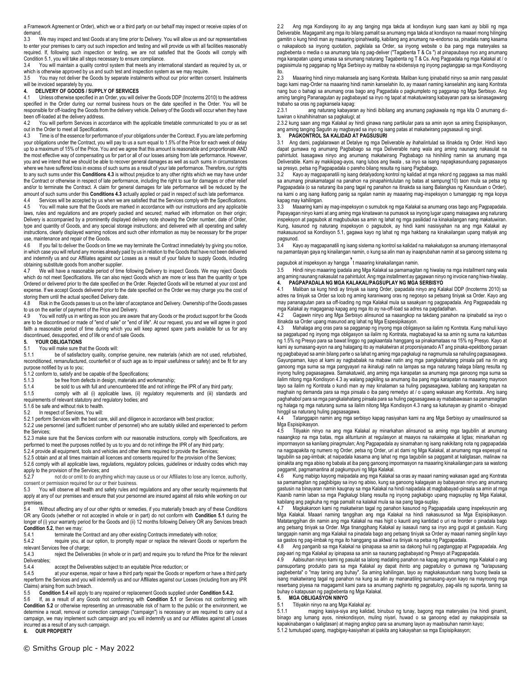a Framework Agreement or Order), which we or a third party on our behalf may inspect or receive copies of on demand.

3.3 We may inspect and test Goods at any time prior to Delivery. You will allow us and our representatives to enter your premises to carry out such inspection and testing and will provide us with all facilities reasonably required. If, following such inspection or testing, we are not satisfied that the Goods will comply with Condition 5.1, you will take all steps necessary to ensure compliance.

3.4 You will maintain a quality control system that meets any international standard as required by us, or which is otherwise approved by us and such test and inspection system as we may require.

3.5 You may not deliver the Goods by separate instalments without our prior written consent. Instalments will be invoiced separately by you.

# **4. DELIVERY OF GOODS / SUPPLY OF SERVICES**

Unless otherwise specified in an Order, you will deliver the Goods DDP (Incoterms 2010) to the address specified in the Order during our normal business hours on the date specified in the Order. You will be responsible for off-loading the Goods from the delivery vehicle. Delivery of the Goods will occur when they have been off-loaded at the delivery address.<br>4.2 You will perform Services in acc

You will perform Services in accordance with the applicable timetable communicated to you or as set out in the Order to meet all Specifications.

4.3 Time is of the essence for performance of your obligations under the Contract. If you are late performing your obligations under the Contract, you will pay to us a sum equal to 1.5% of the Price for each week of delay up to a maximum of 15% of the Price. You and we agree that this amount is reasonable and proportionate AND the most effective way of compensating us for part or all of our losses arising from late performance. However, you and we intend that we should be able to recover general damages as well as such sums in circumstances where we have suffered loss in excess of such sums as a result of your late performance. Therefore, our rights to any such sums under this **Conditions 4.3** is without prejudice to any other rights which we may have under the Contract or otherwise in respect of late performance, including the right to sue for damages or other relief and/or to terminate the Contract. A claim for general damages for late performance will be reduced by the amount of such sums under this **Conditions 4.3** actually applied or paid in respect of such late performance.

4.4 Services will be accepted by us when we are satisfied that the Services comply with the Specifications.<br>4.5 You will make sure that the Goods are marked in accordance with our instructions and any applicable You will make sure that the Goods are marked in accordance with our instructions and any applicable

laws, rules and regulations and are properly packed and secured; marked with information on their origin; Delivery is accompanied by a prominently displayed delivery note showing the Order number, date of Order, type and quantity of Goods, and any special storage instructions; and delivered with all operating and safety instructions, clearly displayed warning notices and such other information as may be necessary for the proper use, maintenance and repair of the Goods.<br>4.6 If you fail to deliver the Goods on tin

If you fail to deliver the Goods on time we may terminate the Contract immediately by giving you notice, in which case you will refund any monies already paid by us in relation to the Goods that have not been delivered and indemnify us and our Affiliates against our Losses as a result of your failure to supply Goods, including obtaining substitute goods from another supplier.

We will have a reasonable period of time following Delivery to inspect Goods. We may reject Goods which do not meet Specifications. We can also reject Goods which are more or less than the quantity or type Ordered or delivered prior to the date specified on the Order. Rejected Goods will be returned at your cost and expense. If we accept Goods delivered prior to the date specified on the Order we may charge you the cost of storing them until the actual specified Delivery date.

4.8 Risk in the Goods passes to us on the later of acceptance and Delivery. Ownership of the Goods passes to us on the earlier of payment of the Price and Delivery.<br>4.9 You will notify us in writing as soon you are aware

You will notify us in writing as soon you are aware that any Goods or the product support for the Goods are to be discontinued or made of "end of sale" or "end of life". At our request, you and we will agree in good faith a reasonable period of time during which you will keep agreed spare parts available for us for any discontinued, desupported, end of life or end of sale Goods.

## **5. YOUR OBLIGATIONS**

# 5.1 You will make sure that the Goods will:<br>5.1.1 be of satisfactory quality comp

be of satisfactory quality, comprise genuine, new materials (which are not used, refurbished, reconditioned, remanufactured, counterfeit or of such age as to impair usefulness or safety) and be fit for any purpose notified by us to you;

5.1.2 conform to, satisfy and be capable of the Specifications;<br>5.1.3 be free from defects in design. materials and w

- be free from defects in design, materials and workmanship;
- 5.1.4 be sold to us with full and unencumbered title and not infringe the IPR of any third party;<br>5.1.5 comply with all (i) applicable laws (ii) requilatory requirements and (iii) standard

comply with all (i) applicable laws, (ii) regulatory requirements and (iii) standards and

requirements of relevant statutory and regulatory bodies; and

5.1.6 be safe and without risk to health.<br>5.2 In respect of Services You will:

In respect of Services, You will:

5.2.1 perform Services with the best care, skill and diligence in accordance with best practice;

5.2.2 use personnel (and sufficient number of personnel) who are suitably skilled and experienced to perform the Services;

5.2.3 make sure that the Services conform with our reasonable instructions, comply with Specifications, are performed to meet the purposes notified by us to you and do not infringe the IPR of any third party;

5.2.4 provide all equipment, tools and vehicles and other items required to provide the Services;

5.2.5 obtain and at all times maintain all licences and consents required for the provision of the Services; 5.2.6 comply with all applicable laws, regulations, regulatory policies, guidelines or industry codes which may

apply to the provision of the Services; and<br>5.2.7 post do or omit to do anything not do or omit to do anything which may cause us or our Affiliates to lose any licence, authority, consent or permission required for our or their business.<br>5.3 You will observe all health and safety rules and

You will observe all health and safety rules and regulations and any other security requirements that apply at any of our premises and ensure that your personnel are insured against all risks while working on our premises.

5.4 Without affecting any of our other rights or remedies, if you materially breach any of these Conditions OR any Goods (whether or not accepted in whole or in part) do not conform with **Condition 5.1** during the longer of (i) your warranty period for the Goods and (ii) 12 months following Delivery OR any Services breach **Condition 5.2**, then we may:<br>5.4.1 terminate the

5.4.1 terminate the Contract and any other existing Contracts immediately with notice;<br>5.4.2 require you, at our option, to promptly repair or replace the relevant Goods or

require you, at our option, to promptly repair or replace the relevant Goods or reperform the relevant Services free of charge;

5.4.3 reject the Deliverables (in whole or in part) and require you to refund the Price for the relevant Deliverables;<br>5.4.4

5.4.4 accept the Deliverables subject to an equitable Price reduction; or 5.4.5 at your expense, repair or have a third party repair the Goods or re

at your expense, repair or have a third party repair the Goods or reperform or have a third party reperform the Services and you will indemnify us and our Affiliates against our Losses (including from any IPR Claims) arising from such breach.<br>5.5 Condition 5.4 will annly to

5.5 **Condition 5.4** will apply to any repaired or replacement Goods supplied under **Condition 5.4.2.**

If, as a result of any Goods not conforming with **Condition 5.1** or Services not conforming with **Condition 5.2** or otherwise representing an unreasonable risk of harm to the public or the environment, we determine a recall, removal or correction campaign ("campaign") is necessary or are required to carry out a campaign, we may implement such campaign and you will indemnify us and our Affiliates against all Losses incurred as a result of any such campaign. **6. OUR PROPERTY**

2.2 Ang mga Kondisyong ito ay ang tanging mga takda at kondisyon kung saan kami ay bibili ng mga Deliverable. Magagamit ang mga ito bilang pamalit sa anumang mga takda at kondisyon na maaari mong hilinging gamitin o kung hindi man ay maaaring ipinahiwatig, kabilang ang anumang na-endorso sa, pinadala nang kasama o nakapaloob sa inyong quotation, pagkilala sa Order, sa inyong website o iba pang mga materyales sa pagbebenta o media o sa anumang tala ng pag-deliver ("Tagabenta T & Cs ") at pinapaubaya nyo ang anumang mga karapatan upang umasa sa sinumang naturang Tagabenta ng T & Cs. Ang Pagpadala ng mga Kalakal at / o pagsisimula ng pagganap ng Mga Serbisyo ay matibay na ebidensiya ng inyong pagtanggap sa mga Kondisyong ito.

2.3 Maaaring hindi ninyo makansela ang isang Kontrata. Maliban kung ipinabatid ninyo sa amin nang pasulat bago kami mag-Order na maaaring hindi namin kanselahin ito, ay maaari naming kanselahin ang isang Kontrata nang buo o bahagi sa anumang oras bago ang Pagpadala o pagkumpleto ng pagganap ng Mga Serbisyo. Ang aming tanging Pananagutan ay pagbabayad sa inyo ng tapat at makatuwirang kabayaran para sa isinasagawang trabaho sa oras ng pagkansela kapag:<br>231 ang naturang kabayara

2.3.1 ang naturang kabayaran ay hindi ibibilang ang anumang pagkawala ng mga kita O anumang dituwiran o kinahihinatnan sa pagkalugi; at

2.3.2 kung saan ang mga Kalakal ay hindi ginawa nang partikular para sa amin ayon sa aming Espisipikasyon, ang aming tanging Sagutin ay magbayad sa inyo ng isang patas at makatwirang pagsasauli ng singil

## **3. PAGKONTROL SA KALIDAD AT PAGSUSURI**

3.1 Ang dami, paglalarawan at Detalye ng mga Deliverable ay ihahalintulad sa itinakda ng Order. Hindi kayo dapat gumawa ng anumang Pagbabago sa mga Deliverable nang wala ang aming naunang nakasulat na pahintulot. Isasagawa ninyo ang anumang makatwirang Pagbabago na hinihiling namin sa anumang mga Deliverable. Kami ay makikipag-ayos, nang lubos ang tiwala , sa inyo sa isang napagkasunduang pagsasaayos sa presyo, petsa ng Pagpapadala o pareho bilang resulta ng isang Pagbabago.

3.2 Kayo ay magpapanatili ng isang detalyadong kontrol ng kalidad at mga rekord ng paggawa sa mas maikli sa anumang pinakamatagal na panahon na pinapahintulutan ng batas at sampung(10) taon mula sa petsa ng Pagpapadala (o sa naturang iba pang tagal ng panahon na itinakda sa isang Balangkas ng Kasunduan o Order), na kami o ang isang ikatlong panig sa ngalan namin ay maaaring mag-inspeksyon o tumanggap ng mga kopya kapag may kahilingan.<br>3.3 Maaaring kami

Maaaring kami ay mag-inspeksyon o sumubok ng mga Kalakal sa anumang oras bago ang Pagpapadala. Papayagan ninyo kami at ang aming mga kinatawan na pumasok sa inyong lugar upang maisagawa ang naturang inspeksyon at pagsubok at magbubukas sa amin ng lahat ng mga pasilidad na kinakailangan nang makatuwiran. Kung, kasunod ng naturang inspeksyon o pagsubok, ay hindi kami nasisiyahan na ang mga Kalakal ay makasusunod sa Kondisyon 5.1, gagawa kayo ng lahat ng mga hakbang na kinakailangan upang matiyak ang pagsunod.<br>34 Kay

3.4 Kayo ay magpapanatili ng isang sistema ng kontrol sa kalidad na makakatugon sa anumang internasyonal na pamantayan gaya ng kinailangan namin, o kung sa alin man ay inaaprubahan namin at sa ganoong sistema ng

pagsubok at inspeksyon ay hangga't maaaring kinakailangan namin.

3.5 Hindi ninyo maaaring ipadala ang Mga Kalakal sa pamamagitan ng hiwalay na mga installment nang wala ang aming naunang nakasulat na pahintulot. Ang mga installment ay gagawan ninyo ng invoice nang hiwa-hiwalay. **4. PAGPAPADALA NG MGA KALAKAL/PAGSUPLAY NG MGA SERBISYO**

4.1 Maliban sa kung hindi ay tiniyak sa isang Order, ipapadala ninyo ang Kalakal DDP (Incoterms 2010) sa adres na tiniyak sa Order sa loob ng aming karaniwang oras ng negosyo sa petsang tiniyak sa Order. Kayo ang may pananagutan para sa off-loading ng mga Kalakal mula sa sasakyan ng pagpapadala. Ang Pagpapadala ng mga Kalakal ay magaganap kapag ang mga ito ay na-off-load sa adres na pagdadalhan.

4.2 Gagawin ninyo ang Mga Serbisyo alinsunod sa naaangkop na takdang panahon na ipinabatid sa inyo o itinakda sa Order upang masunod ang lahat ng Mga Espesipikasyon.

4.3 Mahalaga ang oras para sa pagganap ng inyong mga obligasyon sa ilalim ng Kontrata. Kung mahuli kayo sa pagpatupad ng inyong mga obligasyon sa ilalim ng Kontrata, magbabayad ka sa amin ng suma na katumbas ng 1.5% ng Presyo para sa bawat linggo ng pagkaantala hanggang sa pinakamataas na 15% ng Presyo. Kayo at kami ay sumasang-ayon na ang halagang ito ay makatwiran at proporsiyanado AT ang pinaka-epektibong paraan ng pagbabayad sa amin bilang parte o sa lahat ng aming mga pagkalugi na nagmumula sa nahuling pagsasagawa. Gayunpaman, kayo at kami ay nagbabalak na mabawi natin ang mga pangkalahatang pinsala pati na rin ang ganoong mga suma sa mga pangyayari na ikinalugi natin na lampas sa mga naturang halaga bilang resulta ng inyong huling pagsasagawa. Samakatuwid, ang aming mga karapatan sa anumang mga ganoong mga suma sa ilalim nitong mga Kondisyon 4.3 ay walang pagkiling sa anumang iba pang mga karapatan na maaaring mayroon tayo sa ilalim ng Kontrata o kundi man ay may kinalaman sa huling pagsasagawa, kabilang ang karapatan na maghain ng demanda para sa mga pinsala o iba pang remedyo at / o upang wakasan ang Kontrata.. Ang isang paghahabol para sa mga pangkalahatang pinsala para sa huling pagsasagawa ay mababawasan sa pamamagitan ng halaga ng mga naturang suma sa ilalim nitong Mga Kondisyon 4.3 nang sa katunayan ay ginamit o -ibinayad hinggil sa naturang huling pagsasagawa.<br>44 Tatangganin namin ang mga serb

Tatanggapin namin ang mga serbisyo kapag nasiyahan kami na ang Mga Serbisyo ay umaalinsunod sa Mga Espisipikasyon.<br>4.5 Titiyakin niny

4.5 Titiyakin ninyo na ang mga Kalakal ay minarkahan alinsunod sa aming mga tagubilin at anumang naaangkop na mga batas, mga alituntunin at regulasyon at maayos na nakaimpake at ligtas; minarkahan ng impormasyon sa kanilang pinagmulan; Ang Pagpapadala ay sinamahan ng isang nakikitang nota ng pagpapadala na nagpapakita ng numero ng Order, petsa ng Order, uri at dami ng Mga Kalakal, at anumang mga espesyal na tagubilin sa pag-iimbak; at naipadala kasama ang lahat ng mga tagubilin sa paggamit at kaligtasan, malinaw na ipinakita ang mga abiso ng babala at iba pang ganoong impormasyon na maaaring kinakailangan para sa wastong paggamit, pagmamantina at pagkumpuni ng Mga Kalakal.

4.6 Kung mabigo kayong maipadala ang mga Kalakal sa oras ay maaari naming wakasan agad ang Kontrata sa pamamagitan ng pagbibigay sa inyo ng abiso, kung sa ganoong kalagayan ay babayaran ninyo ang anumang gastusin na binayaran namin kaugnay sa mga Kalakal na hindi naipadala at magbabayad-pinsala sa amin at mga Kaanib namin laban sa mga Pagkalugi bilang resulta ng inyong pagkabigo upang magsuplay ng Mga Kalakal, kabilang ang pagkuha ng mga pamalit na kalakal mula sa isa pang taga-suplay.

4.7 Magkakaroon kami ng makatwiran tagal ng panahon kasunod ng Pagpapadala upang inspeksyunin ang Mga Kalakal. Maaari naming tanggihan ang mga Kalakal na hindi nakasusunod sa Mga Espisipikasyon. Matatanggihan din namin ang mga Kalakal na mas higit o kaunti ang kantidad o uri na Inorder o pinadala bago ang petsang tiniyak sa Order. Mga tinanggihang Kalakal ay isasauli nang sa inyo ang gugol at gastusin. Kung tanggapin namin ang mga Kalakal na pinadala bago ang petsang tiniyak sa Order ay maaari naming singilin kayo sa gastos ng pag-iimbak ng mga ito hanggang sa aktwal na tiniyak na petsa ng Pagpapadala.

4.8 Ang panganib sa mga Kalakal na ipinapasa sa amin sa dakong huli ng pagtanggap at Pagpapadala. Ang pag-aari ng mga Kalakal ay ipinapasa sa amin sa naunang pagbabayad ng Presyo at Pagpapadala

4.9 Aabisuhan ninyo kami ng pasulat sa lalong madaling panahon na kapag ang anumang mga Kalakal o ang pansuportang produkto para sa mga Kalakal ay dapat ihinto ang pagpatuloy o gumawa ng "katapusang pagbebenta" o "may taning ang buhay". Sa aming kahilingan, tayo ay magkakasunduan nang buong tiwala sa isang makatwirang tagal ng panahon na kung sa alin ay mananatiling sumasang-ayon kayo na mayroong mga reserbang piyesa na magagamit kami para sa anumang paghinto ng pagpatuloy, pag-alis ng suporta, taning sa buhay o katapusan ng pagbebenta ng Mga Kalakal.

## **5. MGA OBLIGASYON NINYO**

5.1 Titiyakin ninyo na ang Mga Kalakal ay:

5.1.1 maging kasiya-siya ang kalidad, binubuo ng tunay, bagong mga materyales (na hindi ginamit, binago ang lumang ayos, nirekondisyon, muling niyari, huwad o sa ganoong edad ay makapipinsala sa kapakinabangan o kaligtasan) at maging angkop para sa anumang layon ay maabisuhan namin kayo;

5.1.2 tumutupad upang, magbigay-kasiyahan at ipakita ang kakayahan sa mga Espisipikasyon;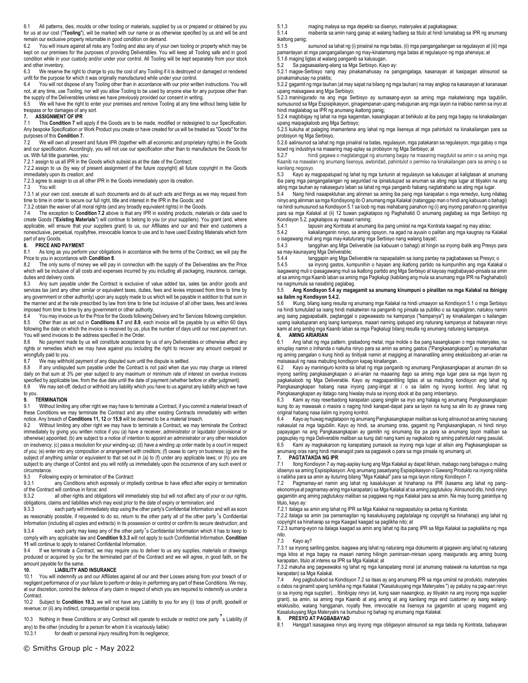6.1 All patterns, dies, moulds or other tooling or materials, supplied by us or prepared or obtained by you for us at our cost ("**Tooling**"), will be marked with our name or as otherwise specified by us and will be and remain our exclusive property returnable in good condition on demand.<br>6.2 You will insure against all risks any Tooling and also any of you

You will insure against all risks any Tooling and also any of your own tooling or property which may be kept on our premises for the purposes of providing Deliverables. You will keep all Tooling safe and in good condition while in your custody and/or under your control. All Tooling will be kept separately from your stock and other inventory.

6.3 We reserve the right to charge to you the cost of any Tooling if it is destroyed or damaged or rendered unfit for the purpose for which it was originally manufactured while under your control.<br>6.4 You will not dispose of any Tooling other than in accordance with our prior writ

You will not dispose of any Tooling other than in accordance with our prior written instructions. You will not, at any time, use Tooling, nor will you allow Tooling to be used by anyone else for any purpose other than the supply of the Deliverables unless we have previously provided our consent in writing.

6.5 We will have the right to enter your premises and remove Tooling at any time without being liable for trespass or for damages of any sort.<br>7. ASSIGNMENT OF IPR

# **7. ASSIGNMENT OF IPR**

7.1 This **Condition 7** will apply if the Goods are to be made, modified or redesigned to our Specification. Any bespoke Specification or Work Product you create or have created for us will be treated as "Goods" for the purposes of this **Condition 7.**

7.2 We will own all present and future IPR (together with all economic and proprietary rights) in the Goods and our specification. Accordingly, you will not use our specification other than to manufacture the Goods for us. With full title guarantee, you:

7.2.1 assign to us all IPR in the Goods which subsist as at the date of the Contract;

7.2.2 assign to us (by way of present assignment of the future copyright) all future copyright in the Goods immediately upon its creation; and

7.2.3 agree to assign to us all other IPR in the Goods immediately upon its creation.

7.3 You will:

7.3.1 at your own cost, execute all such documents and do all such acts and things as we may request from time to time in order to secure our full right, title and interest in the IPR in the Goods; and

7.3.2 obtain the waiver of all moral rights (and any broadly equivalent rights) in the Goods.

7.4 The exception to **Condition 7.2** above is that any IPR in existing products, materials or data used to create Goods ("**Existing Materials**") will continue to belong to you (or your suppliers). You grant (and, where applicable, will ensure that your suppliers grant) to us, our Affiliates and our and their end customers a nonexclusive, perpetual, royaltyfree, irrevocable licence to use and to have used Existing Materials which form part of any Goods.

### **8. PRICE AND PAYMENT**

8.1 As long as you perform your obligations in accordance with the terms of the Contract, we will pay the Price to you in accordance with **Condition 8**.

The only sums of money we will pay in connection with the supply of the Deliverables are the Price which will be inclusive of all costs and expenses incurred by you including all packaging, insurance, carriage, duties and delivery costs.

8.3 Any sum payable under the Contract is exclusive of value added tax, sales tax and/or goods and services tax (and any other similar or equivalent taxes, duties, fees and levies imposed from time to time by any government or other authority) upon any supply made to us which will be payable in addition to that sum in the manner and at the rate prescribed by law from time to time but inclusive of all other taxes, fees and levies imposed from time to time by any government or other authority.<br>8.4 You may invoice us for the Price for the Goods following I

You may invoice us for the Price for the Goods following Delivery and for Services following completion. 8.5 Other than as set out in **Conditions 8.7** and **8.9**, each invoice will be payable by us within 60 days following the date on which the invoice is received by us, plus the number of days until our next payment run. You will send invoices to the address specified in the Order.

8.6 No payment made by us will constitute acceptance by us of any Deliverables or otherwise affect any rights or remedies which we may have against you including the right to recover any amount overpaid or wrongfully paid to you.<br>8.7 We may withhout

We may withhold payment of any disputed sum until the dispute is settled.

8.8 If any undisputed sum payable under the Contract is not paid when due you may charge us interest daily on that sum at 3% per year subject to any maximum or minimum rate of interest on overdue invoices specified by applicable law, from the due date until the date of payment (whether before or after judgment).

8.9 We may set-off, deduct or withhold any liability which you have to us against any liability which we have to you.

### **9. TERMINATION**

9.1 Without limiting any other right we may have to terminate a Contract, if you commit a material breach of these Conditions we may terminate the Contract and any other existing Contracts immediately with written notice. Any breach of **Conditions 11, 12** or **15.9** will be deemed to be a material breach.<br>9.2 Without limiting any other right we may have to terminate a Contract we may te

Without limiting any other right we may have to terminate a Contract, we may terminate the Contract immediately by giving you written notice if you (a) have a receiver, administrator or liquidator (provisional or otherwise) appointed; (b) are subject to a notice of intention to appoint an administrator or any other resolution on insolvency; (c) pass a resolution for your winding-up; (d) have a winding up order made by a court in respect of you; (e) enter into any composition or arrangement with creditors; (f) cease to carry on business; (g) are the subject of anything similar or equivalent to that set out in (a) to (f) under any applicable laws; or (h) you are subject to any change of Control and you will notify us immediately upon the occurrence of any such event or circumstance.<br>9.3 Follow

9.3 Following expiry or termination of the Contract:<br>9.3.1 any Conditions which expressly or implement

any Conditions which expressly or impliedly continue to have effect after expiry or termination of the Contract will continue in force; and<br>9.3.2 all other rights and obligat

all other rights and obligations will immediately stop but will not affect any of your or our rights, obligations, claims and liabilities which may exist prior to the date of expiry or termination; and

9.3.3 each party will immediately stop using the other party's Confidential Information and will as soon as reasonably possible, if requested to do so, return to the other party all of the other party's Confidential Information (including all copies and extracts) in its possession or control or confirm its secure destruction; and

9.3.4 each party may keep any of the other party's Confidential Information which it has to keep to comply with any applicable law and **Condition 9.3.3** will not apply to such Confidential Information. **Condition 11** will continue to apply to retained Confidential Information.

9.4 If we terminate a Contract, we may require you to deliver to us any supplies, materials or drawings produced or acquired by you for the terminated part of the Contract and we will agree, in good faith, on the amount payable for the same.

# **10. LIABILITY AND INSURANCE**<br>10.1 You will indemnify us and our Affiliates

You will indemnify us and our Affiliates against all our and their Losses arising from your breach of or negligent performance of or your failure to perform or delay in performing any part of these Conditions. We may, at our discretion, control the defence of any claim in respect of which you are required to indemnify us under a Contract.

10.2 Subject to **Condition 10.3**, we will not have any Liability to you for any (i) loss of profit, goodwill or revenue; or (ii) any indirect, consequential or special loss.

10.3 Nothing in these Conditions or any Contract will operate to exclude or restrict one party s Liability (if any) to the other (including for a person for whom it is vicariously liable):<br>10.3.1 for death or personal iniury resulting from its negligence:

for death or personal injury resulting from its negligence;

5.1.3 maging malaya sa mga depekto sa disenyo, materyales at pagkakagawa;

5.1.4 maibenta sa amin nang ganap at walang hadlang sa titulo at hindi lumalabag sa IPR ng anumang ikatlong panig;

sumunod sa lahat ng (i) pinaiiral na mga batas, (ii) mga pangangailangan sa regulasyon at (iii) mga pamantayan at mga pangangailangan ng may-kinalamang mga batas at regulasyon ng mga ahensiya; at

5.1.6 maging ligtas at walang panganib sa kalusugan.

5.2 Sa pagsasaalang-alang sa Mga Serbisyo, Kayo ay:

5.2.1 magse-Serbisyo nang may pinakamahusay na pangangalaga, kasanayan at kasipagan alinsunod sa pinakamahusay na praktis;

5.2.2 gagamit ng mga tauhan (at may sapat na bilang ng mga tauhan) na may angkop na kasanayan at karanasan upang maisagawa ang Mga Serbisyo;

5.2.3 maninigurado na ang mga Serbisyo ay sumasang-ayon sa aming mga makatwirang mga tagubilin, sumusunod sa Mga Espisipikasyon, ginagampanan upang matugunan ang mga layon na inabiso namin sa inyo at hindi maglalabag sa IPR ng anumang ikatlong panig;

5.2.4 magbibigay ng lahat na mga kagamitan, kasangkapan at behikulo at iba pang mga bagay na kinakailangan upang maipagkaloob ang Mga Serbisyo;

5.2.5 kukuha at palaging imamantena ang lahat ng mga lisensya at mga pahintulot na kinakailangan para sa probisyon ng Mga Serbisyo,

5.2.6 aalinsunod sa lahat ng mga pinaiiral na batas, regulasyon, mga patakaran sa regulasyon, mga gabay o mga kowd ng industriya na maaaring mag-aplay sa probisyon ng Mga Serbisyo; at

5.2.7 hindi gagawa o magtatanggal ng anumang bagay na maaaring magdulot sa amin o sa aming mga Kaanib na mawalan ng anumang lisensya, awtoridad, pahintulot o permiso na kinakailangan para sa aming o sa kanilang negosyo.

5.3 Kayo ay magpapatupad ng lahat ng mga tuntunin at regulasyon sa kalusugan at kaligtasan at anumang iba pang mga pangangailangan ng seguridad na ipinatutupad sa anuman sa ating mga lugar at titiyakin na ang ating mga tauhan ay nakaseguro laban sa lahat ng mga panganib habang nagtatrabaho sa ating mga lugar.<br>5.4 Nang bindi naaapektuhan ang alinman sa aming iba pang mga karapatan o mga remedyo, kung ni

5.4 Nang hindi naaapektuhan ang alinman sa aming iba pang mga karapatan o mga remedyo, kung nilabag ninyo ang alinman sa mga Kondisyong ito O anumang mga Kalakal (natanggap man o hindi ang kabuuan o bahagi) na hindi sumusunod sa Kondisyon 5.1 sa loob ng mas mahabang panahon ng (i) ang inyong panahon ng garantiya para sa mga Kalakal at (ii) 12 buwan pagkatapos ng Paghahatid O anumang paglabag sa mga Serbisyo ng Kondisyon 5.2, pagkatapos ay maaari naming:

5.4.1 tapusin ang Kontrata at anumang iba pang umiiral na mga Kontrata kaagad ng may abiso;<br>5.4.2 kakailanganin ninyo, sa aming opsyon, na agad na ayusin o palitan ang mga kaugnay na kakailanganin ninyo, sa aming opsyon, na agad na ayusin o palitan ang mga kaugnay na Kalakal

o isagawang muli ang mga may-katuturang mga Serbisyo nang walang bayad; tanggihan ang Mga Deliverable (sa kabuuan o bahagi) at hingin sa inyong ibalik ang Presyo para sa may-kaunayang Mga Deliverable;

5.4.4 tanggapin ang Mga Deliverable na napapailalim sa isang pantay na pagbabawas sa Presyo; o

5.4.5 sa inyong gastos, kumpunihin o hayaan ang ikatlong partido na kumpunihin ang mga Kalakal o isagawang muli o ipasagawang muli sa ikatlong partido ang Mga Serbisyo at kayoay magbabayad-pinsala sa amin at sa aming mga Kaanib laban sa aming mga Pagkalugi (kabilang ang mula sa anumang mga IPR na Paghahabol) na nagmumula sa nasabing paglabag.

### 5.5 **Ang Kondisyon 5.4 ay magagamit sa anumang kinumpuni o pinalitan na mga Kalakal na ibinigay sa ilalim ng Kondisyon 5.4.2.**

5.6 IKung, bilang isang resulta ng anumang mga Kalakal na hindi umaayon sa Kondisyon 5.1 o mga Serbisyo na hindi tumutulad sa isang hindi makatwiran na panganib ng pinsala sa publiko o sa kapaligiran, natukoy namin ang isang pagpapabalik, pagtanggal o pagwawasto na kampanya ("kampanya") ay kinakailangan o kailangan upang isakatuparan ang isang kampanya, maaari naming ipatupad ang naturang kampanya at babayaran ninyo kami at ang amibg mga Kaanib laban sa mga Pagkalugi bilang resulta ng anumang naturang kampanya.

### **6. AMING ARIARIAN**

6.1 Ang lahat ng mga pattern, grabadong metal, mga molde o iba pang kasangkapan o mga materyales, na sinuplay namin o inihanda o nakuha ninyo para sa amin sa aming gastos ("Pangkasangkapan") ay mamarkahan ng aming pangalan o kung hindi ay tinitiyak namin at magiging at mananatiling aming eksklusibong ari-arian na maisasauli ng nasa mabuting kondisyon kapag kinailangan. .

6.2 Kayo ay maniniguro kontra sa lahat ng mga panganib ng anumang Pangkasangkapan at anuman din sa inyong sariling pangkasangkapan o ari-arian na maaaring itago sa aming mga lugar para sa mga layon ng pagkakaloob ng Mga Deliverable. Kayo ay magpapanitiling ligtas at sa mabuting kondisyon ang lahat ng Pangkasangkapan habang nasa inyong pang-iingat at / o sa ilalim ng inyong kontrol. Ang lahat ng Pangkasangkapan ay itatago nang hiwalay mula sa inyong stock at iba pang imbentaryo.

6.3 Kami ay may reserbadong karapatan upang singilin sa inyo ang halaga ng anumang Pangkasangkapan kung ito ay mawasak o masira o naging hindi karapat-dapat para sa layon na kung sa alin ito ay ginawa nang original habang nasa ilalim ng inyong kontrol.

6.4 Kayo ay huwag magtatapon ng anumang Pangkasangkapan maliban sa kung alinsunod sa aming naunang nakasulat na mga tagubilin. Kayo ay hindi, sa anumang oras, gagamit ng Pangkasangkapan, ni hindi ninyo papayagan na ang Pangkasangkapan ay gamitin ng sinumang iba pa para sa anumang layon maliban sa pagsuplay ng mga Deliverable maliban sa kung dati nang kami ay nagkaloob ng aming pahintulot nang pasulat.

6.5 Kami ay magkakaroon ng karapatang pumasok sa inyong mga lugar at alisin ang Pagkasangkapan sa anumang oras nang hindi mananagot para sa pagpasok o para sa mga pinsala ng anumang uri.<br>7. PAGTATAKDA NG IPR

7.1 Itong Kondisyon 7 ay mag-aaplay kung ang Mga Kalakal ay dapat likhain, mabago nang bahagya o muling idisenyo sa aming Espisipikasyon. Ang anumang pasadyang Espisipikasyon o Gawang Produkto na inyong nilikha o nalikha para sa amin ay ituturing bilang "Mga Kalakal" para sa mga layon nitong Kondisyon 7.

7.2 Pagmamay-ari namin ang lahat ng kasalukuyan at hinaharap na IPR (kasama ang lahat ng pangekonomiya at pagmamay-aring mga karapatan) sa Mga Kalakal at sa aming pagtutukoy. Alinsunod dito, hindi ninyo gagamitin ang aming pagtutukoy maliban sa paggawa ng mga Kalakal para sa amin. Na may buong garantiya ng titulo, kayo ay:

7.2.1 italaga sa amin ang lahat ng IPR sa Mga Kalakal na nagpapatuloy sa petsa ng Kontrata;

7.2.2 italaga sa amin (sa pamamagitan ng kasalukuyang pagtatalaga ng copyright sa hinaharap) ang lahat ng copyright sa hinaharap sa mga Kaagad kaagad sa paglikha nito; at

7.2.3 sumang-ayon na italaga kaagad sa amin ang lahat ng iba pang IPR sa Mga Kalakal sa pagkalikha ng mga nito.

7.3 Kayo ay?

7.3.1 sa inyong sariling gastos, isagawa ang lahat ng naturang mga dokumento at gagawin ang lahat ng naturang mga kilos at mga bagay na maaari naming hilingin paminsan-minsan upang masigurado ang aming buong karapatan, titulo at interes sa IPR sa Mga Kalakal; at

7.3.2 makuha ang pagwawaksi ng lahat ng mga karapatang moral (at anumang malawak na katumbas na mga karapatan) sa Mga Kalakal.<br>74 Ang pagbubukod sa

7.4 Ang pagbubukod sa Kondisyon 7.2 sa itaas ay ang anumang IPR sa mga umiiral na produkto, materyales o datos na ginamit upang lumikha ng mga Kalakal ("Kasalukuyang mga Materyales ") ay patuloy na pag-aari ninyo (o sa inyong mga supplier). . Ibinibigay ninyo (at, kung saan naaangkop, ay titiyakin na ang inyong mga supplier grant), sa amin, sa aming mga Kaanib at ang aming at ang kanilang mga end customer ay isang walangeksklusibo, walang hangganan, royalty free, irrevocable na lisensya na gagamitin at upang magamit ang Kasalukuyang Mga Materyalrs na bumubuo ng bahagi ng anumang mga Kalakal.

### **8. PRESYO AT PAGBABAYAD**

8.1 Hangga't isasagawa ninyo ang inyong mga obligasyon alinsunod sa mga takda ng Kontrata, babayaran

**7. PAGTATAKDA NG IPR**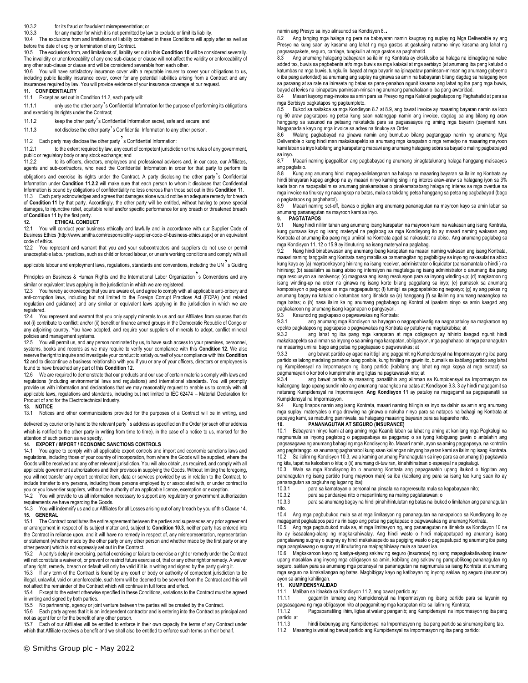### 10.3.2 for its fraud or fraudulent misrepresentation; or

10.3.3 for any matter for which it is not permitted by law to exclude or limit its liability.

10.4 The exclusions from and limitations of liability contained in these Conditions will apply after as well as before the date of expiry or termination of any Contract.

10.5 The exclusions from, and limitations of, liability set out in this **Condition 10** will be considered severally. The invalidity or unenforceability of any one sub-clause or clause will not affect the validity or enforceability of any other sub-clause or clause and will be considered severable from each other.

10.6 You will have satisfactory insurance cover with a reputable insurer to cover your obligations to us, including public liability insurance cover, cover for any potential liabilities arising from a Contract and any insurances required by law. You will provide evidence of your insurance coverage at our request.

## **11. CONFIDENTIALITY**

## 11.1 Except as set out in Condition 11.2, each party will:

11.1.1 only use the other party's Confidential Information for the purpose of performing its obligations and exercising its rights under the Contract;

11.1.2 keep the other party's Confidential Information secret, safe and secure; and

11.1.3 not disclose the other party's Confidential Information to any other person.

# 11.2 Each party may disclose the other party's Confidential Information:<br>11.2.1 to the extent required by law, any court of competent iurisdicti

to the extent required by law, any court of competent jurisdiction or the rules of any government, public or regulatory body or any stock exchange; and<br>11.2.2 to its officers, directors, employees an

to its officers, directors, employees and professional advisers and, in our case, our Affiliates, agents and sub-contractors, who need the Confidential Information in order for that party to perform its obligations and exercise its rights under the Contract. A party disclosing the other party's Confidential Information under **Condition 11.2.2** will make sure that each person to whom it discloses that Confidential Information is bound by obligations of confidentiality no less onerous than those set out in this **Condition 11**.

11.3 Each party acknowledges and agrees that damages alone would not be an adequate remedy for breach of **Condition 11** by that party. Accordingly, the other party will be entitled, without having to prove special damages, to injunctive relief, equitable relief and/or specific performance for any breach or threatened breach of **Condition 11** by the first party<br>**12.** ETHICAL CONDI

### **12. ETHICAL CONDUCT**

12.1 You will conduct your business ethically and lawfully and in accordance with our Supplier Code of Business Ethics (http://www.smiths.com/responsibility-supplier-code-of-business-ethics.aspx) or an equivalent code of ethics.

12.2 You represent and warrant that you and your subcontractors and suppliers do not use or permit unacceptable labour practices, such as child or forced labour, or unsafe working conditions and comply with all

applicable labour and employment laws, regulations, standards and conventions, including the UN<sup>2</sup>s Guiding

Principles on Business & Human Rights and the International Labor Organization<sup>7</sup>s Conventions and any similar or equivalent laws applying in the jurisdiction in which we are registered.

12.3 You hereby acknowledge that you are aware of, and agree to comply with all applicable anti-bribery and anti-corruption laws, including but not limited to the Foreign Corrupt Practices Act (FCPA) (and related regulation and guidance) and any similar or equivalent laws applying in the jurisdiction in which we are registered.

12.4 You represent and warrant that you only supply minerals to us and our Affiliates from sources that do not (i) contribute to conflict; and/or (ii) benefit or finance armed groups in the Democratic Republic of Congo or any adjoining country. You have adopted, and require your suppliers of minerals to adopt, conflict mineral policies and management systems.

12.5 You will permit us, and any person nominated by us, to have such access to your premises, personnel, systems, books and records as we may require to verify your compliance with this **Condition 12**. We also reserve the right to inquire and investigate your conduct to satisfy ourself of your compliance with this **Condition 12** and to discontinue a business relationship with you if you or any of your officers, directors or employees is found to have breached any part of this **Condition 12.** 

12.6 We are required to demonstrate that our products and our use of certain materials comply with laws and regulations (including environmental laws and regulations) and international standards. You will promptly provide us with information and declarations that we may reasonably request to enable us to comply with all applicable laws, regulations and standards, including but not limited to IEC 62474 – Material Declaration for Product of and for the Electrotechnical Industry.

## **13. NOTICE**

13.1 Notices and other communications provided for the purposes of a Contract will be in writing, and

delivered by courier or by hand to the relevant party's address as specified on the Order (or such other address which is notified to the other party in writing from time to time), in the case of a notice to us, marked for the attention of such person as we specify.

# **14. EXPORT / IMPORT / ECONOMIC SANCTIONS CONTROLS**<br>14.1 You agree to comply with all applicable export controls and

You agree to comply with all applicable export controls and import and economic sanctions laws and regulations, including those of your country of incorporation, from where the Goods will be supplied, where the Goods will be received and any other relevant jurisdiction. You will also obtain, as required, and comply with all applicable government authorizations and their provisos in supplying the Goods. Without limiting the foregoing, you will not transfer any export controlled item, data or services provided by us in relation to the Contract, to include transfer to any persons, including those persons employed by or associated with, or under contract to you or you lower-tier suppliers, without the authority of an applicable licence, exemption or exception.<br>14.2 You will provide to us all information necessary to support any regulatory or government auth

You will provide to us all information necessary to support any regulatory or government authorization requirements we have regarding the Goods.

14.3 You will indemnify us and our Affiliates for all Losses arising out of any breach by you of this Clause 14. **15. GENERAL**

15.1 The Contract constitutes the entire agreement between the parties and supersedes any prior agreement or arrangement in respect of its subject matter and, subject to **Condition 10.3**, neither party has entered into the Contract in reliance upon, and it will have no remedy in respect of, any misrepresentation, representation or statement (whether made by the other party or any other person and whether made by the first party or any other person) which is not expressly set out in the Contract.<br>15.2 A party's delay in exercising partial exercising or fail

15.2 A party's delay in exercising, partial exercising or failure to exercise a right or remedy under the Contract will not constitute a waiver of, or prevent or restrict future exercise of, that or any other right or remedy. A waiver of any right, remedy, breach or default will only be valid if it is in writing and signed by the party giving it.

15.3 If any term of the Contract is found by any court or body or authority of competent jurisdiction to be illegal, unlawful, void or unenforceable, such term will be deemed to be severed from the Contract and this will not affect the remainder of the Contract which will continue in full force and effect.

15.4 Except to the extent otherwise specified in these Conditions, variations to the Contract must be agreed in writing and signed by both parties.

15.5 No partnership, agency or joint venture between the parties will be created by the Contract.

15.6 Each party agrees that it is an independent contractor and is entering into the Contract as principal and not as agent for or for the benefit of any other person.

15.7 Each of our Affiliates will be entitled to enforce in their own capacity the terms of any Contract under which that Affiliate receives a benefit and we shall also be entitled to enforce such terms on their behalf

namin ang Presyo sa inyo alinsunod sa Kondisyon 8..

8.2 Ang tanging mga halaga ng pera na babayaran namin kaugnay ng suplay ng Mga Deliverable ay ang Presyo na kung saan ay kasama ang lahat ng mga gastos at gastusing natamo ninyo kasama ang lahat ng pagsasapakete, seguro, carriage, tungkulin at mga gastos sa paghahatid.

8.3 Ang anumang halagang babayaran sa ilalim ng Kontrata ay eksklusibo sa halaga na idinagdag na value added tax, buwis sa pagbebenta at/o mga buwis sa mga kalakal at mga serbisyo (at anumang iba pang katulad o katumbas na mga buwis, tungkulin, bayad at mga bayarin na ipinapataw paminsan-minsan ng anumang gobyerno o iba pang awtoridad) sa anumang ang suplay na ginawa sa amin na babayaran bilang dagdag sa halagang iyon sa paraang at sa rate na inireseta ng batas sa pana-panahon ngunit kasama ang lahat ng iba pang mga buwis, bayad at levies na ipinapataw paminsan-minsan ng anumang pamahalaan o iba pang awtoridad.

8.4 Maaari kayong mag-invoice sa amin para sa Presyo ng mga Kalakal pagkatapos ng Paghahatid at para sa mga Serbisyo pagkatapos ng pagkumpleto.

Bukod sa naitakda sa mga Kondisyon 8.7 at 8.9, ang bawat invoice ay maaaring bayaran namin sa loob ng 60 araw pagkatapos ng petsa kung saan natanggap namin ang invoice, dagdag pa ang bilang ng araw hanggang sa susunod na petsang nakatakda para sa pagsasaayos ng aming mga bayarin (payment run). Magpapadala kayo ng mga invoice sa adres na tinukoy sa Order.

8.6 Walang pagbabayad na ginawa namin ang bumubuo bilang pagtanggap namin ng anumang Mga Deliverable o kung hindi man makakaapekto sa anumang mga karapatan o mga remedyo na maaaring mayroon kami laban sa inyo kabilang ang karapatang mabawi ang anumang halagang sobra sa bayad o maling pagbabayad sa inyo.

8.7 Maaari naming ipagpaliban ang pagbabayad ng anumang pinagtatalunang halaga hanggang maisaayos ang pagtatalo.<br>8.8 Kung

8.8 Kung ang anumang hindi mapag-aalinlanganan na halaga na maaaring bayaran sa ilalim ng Kontrata ay hindi binayaran kapag angkop na ay maaari ninyo kaming singili ng interes araw-araw sa halagang iyon sa 3% kada taon na napapailalim sa anumang pinakamataas o pinakamababang halaga ng interes sa mga overdue na mga invoice na tinukoy ng naaangkop na batas, mula sa takdang petsa hanggang sa petsa ng pagbabayad (bago o pagkatapos ng paghahatol).

8.9 Maaari naming set-off, ibawas o pigilan ang anumang pananagutan na mayroon kayo sa amin laban sa anumang pananagutan na mayroon kami sa inyo.

## **9. PAGTATAPOS**

9.1 Nang hindi nililimitahan ang anumang ibang karapatan na mayroon kami na wakasan ang isang Kontrata, kung gumawa kayo ng isang materyal na paglabag sa mga Kondisyong ito ay maaari naming wakasan ang Kontrata at anumang iba pang mga umiiral na Kontrata agad sa nakasulat na abiso. Ang anumang paglabag sa mga Kondisyon 11, 12 o 15.9 ay itinuturing na isang materyal na paglabag.

9.2 Nang hindi binabawasan ang anumang ibang karapatan na maaari naming wakasan ang isang Kontrata, maaari naming tanggalin ang Kontrata nang mabilis sa pamamagitan ng pagbibigay sa inyo ng nakasulat na abiso kung kayo ay (a) mayroonkayong hinirang na isang receiver, administrator o liquidator (pansamantala o hindi ) na hinirang; (b) sasailalim sa isang abiso ng intensiyon na magtalaga ng isang administrator o anumang iba pang mga resolusyon sa insolvency; (c) magpasa ang isang resolusyon para sa inyong winding-up; (d) magkaroon ng isang winding-up na order na ginawa ng isang korte bilang paggalang sa inyo; (e) pumasok sa anumang komposisyon o pag-aayos sa mga nagpapautang; (f) tumigil sa pagpapatakbo ng negosyo; (g) ay ang paksa ng anumang bagay na katulad o katumbas nang itinakda sa (a) hanggang (f) sa ilalim ng anumang naaangkop na mga batas; o (h) nasa ilalim ka ng anumang pagbabago ng Kontrol at ipaalam ninyo sa amin kaagad ang pagkakaroon ng anumang isang kaganapan o pangyayari.

9.3 Kasunod ng pagkapaso o pagwawakas ng Kontrata:

9.3.1 ang anumang mga Kondisyon na hayagan o nagpapahiwatig na nagpapatuloy na magkaroon ng epekto pagkatapos ng pagkapaso o pagwawakas ng Kontrata ay patuloy na magkakabisa; at

9.3.2 ang lahat ng iba pang mga karapatan at mga obligasyon ay hihinto kaagad ngunit hindi makakaapekto sa alinman sa inyong o sa aming mga karapatan, obligasyon, mga paghahabol at mga pananagutan na maaaring umiiral bago ang petsa ng pagkapaso o pagwawakas; at

9.3.3 ang bawat partido ay agad na ititigil ang paggamit ng Kumpidensyal na Impormasyon ng iba pang partido sa lalong madaling panahon kung posible, kung hiniling na gawin ito, bumalik sa kabilang partido ang lahat ng Kumpidensyal na Impormasyon ng ibang partido (kabilang ang lahat ng mga kopya at mga extract) sa pagmamayari o kontrol o kumpirmahin ang ligtas na pagkawasak nito; at

9.3.4 ang bawat partido ay maaaring panatilihin ang alinman sa Kumpidensyal na Impormasyon na kailangang itago upang sundin nito ang anumang naaangkop na batas at Kondisyon 9.3. 3 ay hindi magagamit sa naturang Kumpidensyal na Impormasyon. **Ang Kondisyon 11** ay patuloy na magagamit sa pagpapanatili sa Kumpidensyal na Impormasyon.<br>9.4 Kung tinapos namin ang

9.4 Kung tinapos namin ang isang Kontrata, maaari naming hilingin sa inyo na dalhin sa amin ang anumang mga suplay, materyales o mga drowing na ginawa o nakuha ninyo para sa natapos na bahagi ng Kontrata at papayag kami, sa mabuting paniniwala, sa halagang maaaring bayaran para sa kapareho nito.

# **10. PANANAGUTAN AT SEGURO (INSURANCE)**

10.1 Babayaran ninyo kami at ang aming mga Kaanib laban sa lahat ng aming at kanilang mga Pagkalugi na nagmumula sa inyong paglabag o pagpapabaya sa pagganap o sa iyong kabiguang gawin o antalahin ang pagsasagawa ng anumang bahagi ng mga Kondisyong ito. Maaari namin, ayon sa aming pagpapasya, na kontrolin ang pagtatanggol sa anumang paghahabol kung saan kailangan ninyong bayaran kami sa ilalim ng isang Kontrata. 10.2 Sa ilalim ng Kondisyon 10.3, wala kaming anumang Pananagutan sa inyo para sa anumang (i) pagkawala ng kita, tapat na kalooban o kita; o (ii) anumang di-tuwiran, kinahihinatnan o espesyal na pagkalugi.

10.3 Wala sa mga Kondisyong ito o anumang Kontrata ang papaganahin upang ibukod o higpitan ang pananagutan ng isang partido (kung mayroon man) sa iba (kabilang ang para sa isang tao kung saan ito ay pananagutan sa pagkuha ng lugar ng iba):<br>10.3.1 mara sa kamatayan o perso

para sa kamatayan o personal na pinsala na nagreresulta mula sa kapabayaan nito;

10.3.2 para sa pandaraya nito o mapanlinlang na maling paglalarawan; o

10.3.3 para sa anumang bagay na hindi pinahihintulutan ng batas na ibukod o limitahan ang pananagutan nito.<br>10.4

Ang mga pagbubukod mula sa at mga limitasyon ng pananagutan na nakapaloob sa Kundisyong ito ay magagamit pagkatapos pati na rin bago ang petsa ng pagkapaso o pagwawakas ng anumang Kontrata.

10.5 Ang mga pagbubukod mula sa, at mga limitasyon ng, ang pananagutan na itinakda sa Kondisyon 10 na ito ay isasaalang-alang ng magkakahiwalay. Ang hindi wasto o hindi maipapatupad ng anumang isang pangalawang sugnay o sugnay ay hindi makakaapekto sa pagiging wasto o pagpapatupad ng anumang iba pang mga pangalawang o sugnay at itinuturing na maipaghihiway mula sa bawat isa.

10.6 Magkakaroon kayo ng kasiya-siyang saklaw ng seguro (insurance) ng isang mapagkakatiwalang insurer upang masaklaw ang inyong mga obligasyon sa amin, kabilang ang saklaw ng pampublikong pananagutan ng seguro, saklaw para sa anumang mga potensyal na pananagutan na nagmumula sa isang Kontrata at anumang mga seguro na kinakailangan ng batas. Magbibigay kayo ng katibayan ng inyong saklaw ng seguro (insurance) ayon sa aming kahilingan.

# **11. KUMPIDENSYALIDAD**

11.1 Maliban sa itinakda sa Kondisyon 11.2, ang bawat partido ay:

gagamitin lamang ang Kumpidensiyal na Impormasyon ng ibang partido para sa layunin ng pagsasagawa ng mga obligasyon nito at paggamit ng mga karapatan nito sa ilalim ng Kontrata;

11.1.2 Pagpapanatiling lihim, ligtas at walang panganib; ang Kumpidensyal na Impormasyon ng iba pang partido; at<br>11.1.3

hindi ibubunyag ang Kumpidensyal na Impormasyon ng iba pang partido sa sinumang ibang tao.

11.2 Maaaring isiwalat ng bawat partido ang Kumpidensyal na Impormasyon ng iba pang partido: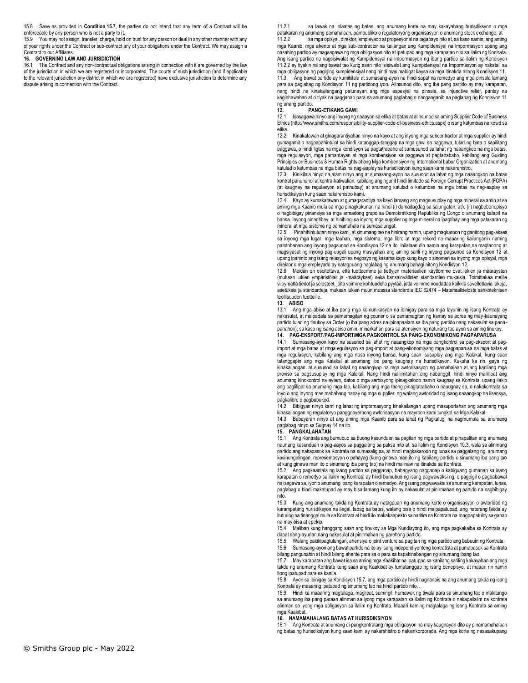15.8 Save as provided in **Condition 15.7**, the parties do not intend that any term of a Contract will be enforceable by any person who is not a party to it.

15.9 You may not assign, transfer, charge, hold on trust for any person or deal in any other manner with any of your rights under the Contract or sub-contract any of your obligations under the Contract. We may assign a Contract to our Affiliates.

### **16. GOVERNING LAW AND JURISDICTION**

16.1 The Contract and any non-contractual obligations arising in connection with it are governed by the law of the jurisdiction in which we are registered or incorporated. The courts of such jurisdiction (and if applicable to the relevant jurisdiction any district in which we are registered) have exclusive jurisdiction to determine any dispute arising in connection with the Contract.

11.2.1 sa lawak na iniaatas ng batas, ang anumang korte na may kakayahang hurisdiksyon o mga patakaran ng anumang pamahalaan, pampubliko o regulatoryong organisasyon o anumang stock exchange; at 11.2.2 sa mga opisyal, direktor, empleyado at propesyonal na tagapayo nito at, sa kaso namin, ang aming mga Kaanib, mga ahente at mga sub-contractor na kailangan ang Kumpidensyal na Impormasyon upang ang nasabing partido ay magsagawa ng mga obligasyon nito at ipatupad ang mga karapatan nito sa ilalim ng Kontrata. Ang isang partido na nagsisiwalat ng Kumpidensyal na Impormasyon ng ibang partido sa ilalim ng Kondisyon 11.2.2 ay tiyakin na ang bawat tao kung saan nito isisiwalat ang Kumpidensyal na Impormasyon ay nakatali sa mga obligasyon ng pagiging kumpidensiyal nang hindi mas mabigat kaysa sa mga itinakda nitong Kondisyon 11. 11.3 Ang bawat partido ay kumikilala at sumasang-ayon na hindi sapat na remedyo ang mga pinsala lamang para sa paglabag ng Kondisyon 11 ng partidong iyon. Alinsunod dito, ang iba pang partido ay may karapatan, nang hindi na kinakailangang patunayan ang mga espesyal na pinsala, sa injunctive relief, pantay na kaginhawahan at o tiyak na pagganap para sa anumang paglabag o nanganganib na paglabag ng Kondisyon 11

# ng unang partido.<br>12. P **12. PANG-ETIKANG GAWI**

12.1 Isasagawa ninyo ang inyong ng naaayon sa etika at batas at alinsunod sa aming Supplier Code of Business Ethics (http://www.smiths.com/responsibility-supplier-code-of-business-ethics.aspx) o isang katumbas na kowd sa etika.

12.2 Kinakatawan at ginagarantiyahan ninyo na kayo at ang inyong mga subcontractor at mga supplier ay hindi gumagamit o nagpapahintulot sa hindi katanggap-tanggap na mga gawi sa paggawa, tulad ng bata o sapilitang paggawa, o hindi ligtas na mga kondisyon sa pagtatrabaho at sumusunod sa lahat ng naaangkop na mga batas, mga regulasyon, mga pamantayan at mga kombensiyon sa paggawa at pagtatrabaho, kabilang ang Guiding Principles on Business & Human Rights at ang Mga kombensiyon ng International Labor Organization at anumang katulad o katumbas na mga batas na nag-aaplay sa hurisdiksiyon kung saan kami nakarehistro.

12.3 Kinikilala ninyo na alam ninyo ang at sumasang-ayon na susunod sa lahat ng mga naaangkop na batas kontral panunuhol at kontra-katiwalian, kabilang ang ngunit hindi limitado sa Foreign Corrupt Practices Act (FCPA) (at kaugnay na regulasyon at patnubay) at anumang katulad o katumbas na mga batas na nag-aaplay sa hurisdiksiyon kung saan nakarehistro kami.

12.4 Kayo ay kumakatawan at gumagarantiya na kayo lamang ang magsusuplay ng mga mineral sa amin at sa aming mga Kaanib mula sa mga pinagkukunan na hindi (i) dumadagdag sa salungatan; at/o (ii) nagbebenepisyo o nagbibigay pinansiya sa mga armadong grupo sa Demokratikong Republika ng Congo o anumang kalapit na bansa. Inyong pinagtibay, at hinihingi sa inyong mga supplier ng mga mineral na ipagtibay ang mga patakaran ng mineral at mga sistema ng pamamahala na sumasalungat.

12.5 Pinahihintulutan ninyo kami, at sinumang tao na hinirang namin, upang magkaroon ng ganitong pag-akses sa inyong mga lugar, mga tauhan, mga sistema, mga libro at mga rekord na maaaring kailanganin naming patotohanan ang inyong pagsunod sa Kondisyon 12 na ito. Inilalaan din namin ang karapatan na magtanong at magsiyasat ng inyong pag-uugali upang masiyahan ang aming sarili ng inyong pagsunod sa Kondisyon 12 at upang ipahinto ang isang relasyon sa negosyo ng kasama kayo kung kayo o sinoman sa inyong mga opisyal, mga direktor o mga empleyado ay natagpuang naglabag ng anumang bahagi nitong Kondisyon 12.

12.6 Meidän on osoitettava, että tuotteemme ja tiettyjen materiaalien käyttömme ovat lakien ja määräysten (mukaan lukien ympäristölait ja -määräykset) sekä kansainvälisten standardien mukaisia. Toimittakaa meille viipymättä tiedot ja selosteet, joita voimme kohtuudella pyytää, jotta voimme noudattaa kaikkia sovellettavia lakeja, asetuksia ja standardeja, mukaan lukien muun muassa standardia IEC 62474 – Materiaaliseloste sähköteknisen teollisuuden tuotteille.

## **13. ABISO**

13.1 Ang mga abiso at iba pang mga komunikasyon na ibinigay para sa mga layunin ng isang Kontrata ay nakasulat, at maipadala sa pamamagitan ng courier o sa pamamagitan ng kamay sa adres ng may-kaunayang partido tulad ng tinukoy sa Order (o iba pang adres na ipinapaalam sa iba pang partido nang nakasulat sa panapanahon), sa kaso ng isang abiso amin, minarkahan para sa atensiyon ng naturang tao ayon sa aming tinukoy.

## **14. PAG-EKSPORT/PAG-IMPORT/MGA PAGKONTROL SA PANG-EKONOMIKONG PAGPAPARUSA**

14.1 Sumasang-ayon kayo na susunod sa lahat ng naaangkop na mga pangkontrol sa pag-eksport at pagimport at mga batas at rmga egulasyon sa pag-import at pang-ekonomiyang mga pagpaparusa na mga batas at mga regulasyon, kabilang ang mga nasa inyong bansa, kung saan isusuplay ang mga Kalakal, kung saan tatanggapin ang mga Kalakal at anumang iba pang kaugnay na hurisdiksyon. Kukuha ka rin, gaya ng kinakailangan, at susunod sa lahat ng naaangkop na mga awtorisasyon ng pamahalaan at ang kanilang mga proviso sa pagsusuplay ng mga Kalakal. Nang hindi nalilimitahan ang nabanggit, hindi ninyo maililipat ang anumang kinokontrol na aytem, datos o mga serbisyong ipinagkaloob namin kaugnay sa Kontrata, upang ilakip ang paglilipat sa anumang mga tao, kabilang ang mga taong pinagtatrabaho o nauugnay sa, o nakakontrata sa inyo o ang inyong mas mababang hanay ng mga supplier, ng walang awtoridad ng isang naaangkop na lisensya, pagkalibre o pagbubukod.

14.2 Bibigyan ninyo kami ng lahat ng impormasyong kinakailangan upang masuportahan ang anumang mga kinakailangan ng regulatoryo panggobyernong awtorisasyon na mayroon kami tungkol sa Mga Kalakal.

14.3 Babayaran ninyo at ang aming mga Kaanib para sa lahat ng Pagkalugi na nagmumula sa anumang paglabag ninyo sa Sugnay 14 na ito.

### **15. PANGKALAHATAN**

15.1 Ang Kontrata ang bumubuo sa buong kasunduan sa pagitan ng mga partido at pinapalitan ang anumang naunang kasunduan o pag-aayos sa paggalang sa paksa nito at, sa ilalim ng Kondisyon 10.3, wala sa alinmang partido ang nakapasok sa Kontrata na sumasalig sa, at hindi magkakaroon ng lunas sa paggalang ng, anumang kasinungalingan, representasyon o pahayag (kung ginawa man ito ng kabilang partido o sinumang iba pang tao at kung ginawa man ito o sinumang iba pang tao) na hindi malinaw na itinakda sa Kontrata.

15.2 Ang pagkaantala ng isang partido sa pagganap, bahagyang pagganap o kabiguang gumanap sa isang karapatan o remedyo sa ilalim ng Kontrata ay hindi bumubuo ng isang pagwawaksi ng, o pagpigil o pagbabawal na isagawa sa, iyon o anumang ibang karapatan o remedyo. Ang isang pagwawaksi sa anumang karapatan, lunas, paglabag o hindi makatupad ay may bisa lamang kung ito ay nakasulat at pinirmahan ng partido na nagbibigay nito.

15.3 Kung ang anumang takda ng Kontrata ay natagpuan ng anumang korte o organisasyon o awtoridad ng karampatang hurisdiksyon na ilegal, labag sa batas, walang bisa o hindi maipapatupad, ang naturang takda ay ituturing na tinanggal mula sa Kontrata at hindi ito makakaapekto sa natitira sa Kontrata na magpapatuloy sa ganap na may bisa at epekto.<br>15.4 Maliban kung h

15.4 Maliban kung hanggang saan ang tinukoy sa Mga Kundisyong ito, ang mga pagkakaiba sa Kontrata ay dapat sang-ayunan nang nakasulat at pinirmahan ng parehong partido.

15.5 Walang pakikipagtulungan, ahensiya o joint venture sa pagitan ng mga partido ang bubuuin ng Kontrata. 15.6 Sumasang-ayon ang bawat partido na ito ay isang independiyenteng kontratista at pumapasok sa Kontrata

bilang pangunahin at hindi bilang ahente para sa o para sa kapakinabangan ng sinumang ibang tao.

15.7 May karapatan ang bawat isa sa aming mga Kaakibat na ipatupad sa kanilang sariling kakayahan ang mga takda ng anumang Kontrata kung saan ang Kaakibat ay tumatanggap ng isang benepisyo, at maaari rin namin itong ipatupad para sa kanila.

15.8 Ayon sa ibinigay sa Kondisyon 15.7, ang mga partido ay hindi nagnanais na ang anumang takda ng isang Kontrata ay maaaring ipatupad ng sinumang tao na hindi partido nito. .

15.9 Hindi ka maaaring magtalaga, maglipat, sumingil, humawak ng tiwala para sa sinumang tao o makitungo sa anumang iba pang paraan alinman sa iyong mga karapatan sa ilalim ng Kontrata o nakapailalim na kontrata alinman sa iyong mga obligasyon sa ilalim ng Kontrata. Maaari kaming magtalaga ng isang Kontrata sa aming mga Kaakibat.

### **16. NAMAMAHALANG BATAS AT HURISDIKSIYON**

16.1 Ang Kontrata at anumang di-pangkontratang mga obligasyon na may kaugnayan dito ay pinamamahalaan ng batas ng hurisdiksiyon kung saan kami ay nakarehistro o nakainkorporada. Ang mga korte ng nasasakupang